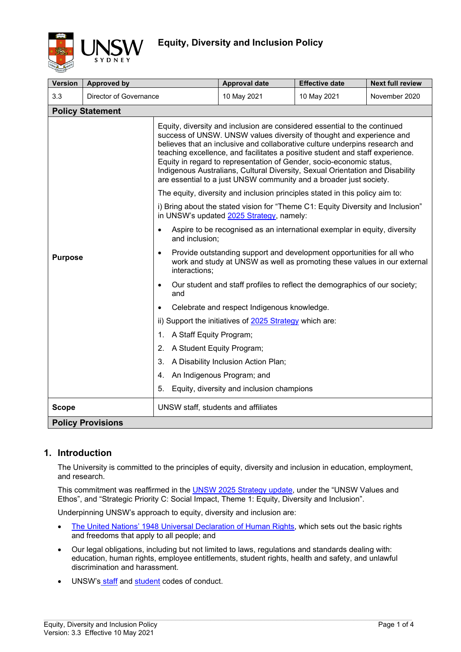

| <b>Version</b>                                                                                                                                                                         | <b>Approved by</b>     |                                                                                                                                                                                                                                                                                                                                                                                                                                                                                                                                                                                                                                                                                                                                                                                                                                                                                                                                                                                                                                                                                                                                                                                                                                                                                                                                          | <b>Approval date</b> | <b>Effective date</b> | <b>Next full review</b> |  |
|----------------------------------------------------------------------------------------------------------------------------------------------------------------------------------------|------------------------|------------------------------------------------------------------------------------------------------------------------------------------------------------------------------------------------------------------------------------------------------------------------------------------------------------------------------------------------------------------------------------------------------------------------------------------------------------------------------------------------------------------------------------------------------------------------------------------------------------------------------------------------------------------------------------------------------------------------------------------------------------------------------------------------------------------------------------------------------------------------------------------------------------------------------------------------------------------------------------------------------------------------------------------------------------------------------------------------------------------------------------------------------------------------------------------------------------------------------------------------------------------------------------------------------------------------------------------|----------------------|-----------------------|-------------------------|--|
| 3.3                                                                                                                                                                                    | Director of Governance |                                                                                                                                                                                                                                                                                                                                                                                                                                                                                                                                                                                                                                                                                                                                                                                                                                                                                                                                                                                                                                                                                                                                                                                                                                                                                                                                          | 10 May 2021          | 10 May 2021           | November 2020           |  |
|                                                                                                                                                                                        |                        |                                                                                                                                                                                                                                                                                                                                                                                                                                                                                                                                                                                                                                                                                                                                                                                                                                                                                                                                                                                                                                                                                                                                                                                                                                                                                                                                          |                      |                       |                         |  |
| <b>Policy Statement</b><br>$\bullet$<br>and inclusion;<br>$\bullet$<br><b>Purpose</b><br>interactions;<br>and<br>A Staff Equity Program;<br>1.<br>2.<br>3.<br>4.<br>5.<br><b>Scope</b> |                        | Equity, diversity and inclusion are considered essential to the continued<br>success of UNSW. UNSW values diversity of thought and experience and<br>believes that an inclusive and collaborative culture underpins research and<br>teaching excellence, and facilitates a positive student and staff experience.<br>Equity in regard to representation of Gender, socio-economic status,<br>Indigenous Australians, Cultural Diversity, Sexual Orientation and Disability<br>are essential to a just UNSW community and a broader just society.<br>The equity, diversity and inclusion principles stated in this policy aim to:<br>i) Bring about the stated vision for "Theme C1: Equity Diversity and Inclusion"<br>in UNSW's updated 2025 Strategy, namely:<br>Aspire to be recognised as an international exemplar in equity, diversity<br>Provide outstanding support and development opportunities for all who<br>work and study at UNSW as well as promoting these values in our external<br>Our student and staff profiles to reflect the demographics of our society;<br>Celebrate and respect Indigenous knowledge.<br>ii) Support the initiatives of 2025 Strategy which are:<br>A Student Equity Program;<br>A Disability Inclusion Action Plan;<br>An Indigenous Program; and<br>Equity, diversity and inclusion champions |                      |                       |                         |  |
|                                                                                                                                                                                        |                        | UNSW staff, students and affiliates                                                                                                                                                                                                                                                                                                                                                                                                                                                                                                                                                                                                                                                                                                                                                                                                                                                                                                                                                                                                                                                                                                                                                                                                                                                                                                      |                      |                       |                         |  |
| <b>Policy Provisions</b>                                                                                                                                                               |                        |                                                                                                                                                                                                                                                                                                                                                                                                                                                                                                                                                                                                                                                                                                                                                                                                                                                                                                                                                                                                                                                                                                                                                                                                                                                                                                                                          |                      |                       |                         |  |

## **1. Introduction**

The University is committed to the principles of equity, diversity and inclusion in education, employment, and research.

This commitment was reaffirmed in the **UNSW 2025 Strategy update**, under the "UNSW Values and Ethos", and "Strategic Priority C: Social Impact, Theme 1: Equity, Diversity and Inclusion".

Underpinning UNSW's approach to equity, diversity and inclusion are:

- [The United Nations' 1948 Universal Declaration of Human Rights,](http://www.un.org/en/universal-declaration-human-rights/index.html) which sets out the basic rights and freedoms that apply to all people; and
- Our legal obligations, including but not limited to laws, regulations and standards dealing with: education, human rights, employee entitlements, student rights, health and safety, and unlawful discrimination and harassment.
- UNSW's [staff](https://www.gs.unsw.edu.au/policy/codeofconduct.html) and [student](https://www.gs.unsw.edu.au/policy/studentcodepolicy.html) codes of conduct.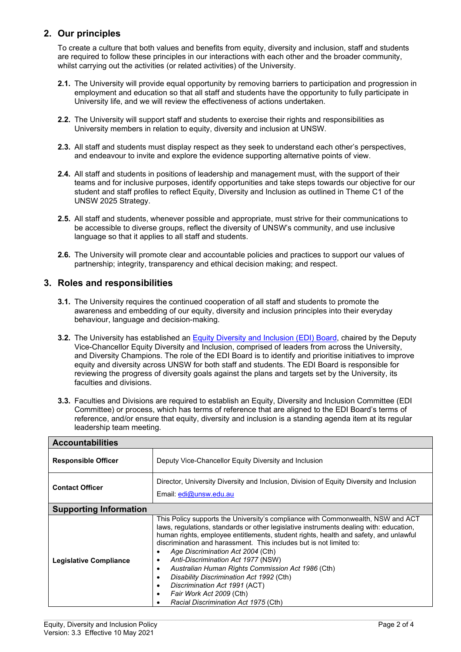## **2. Our principles**

To create a culture that both values and benefits from equity, diversity and inclusion, staff and students are required to follow these principles in our interactions with each other and the broader community, whilst carrying out the activities (or related activities) of the University.

- **2.1.** The University will provide equal opportunity by removing barriers to participation and progression in employment and education so that all staff and students have the opportunity to fully participate in University life, and we will review the effectiveness of actions undertaken.
- **2.2.** The University will support staff and students to exercise their rights and responsibilities as University members in relation to equity, diversity and inclusion at UNSW.
- **2.3.** All staff and students must display respect as they seek to understand each other's perspectives, and endeavour to invite and explore the evidence supporting alternative points of view.
- **2.4.** All staff and students in positions of leadership and management must, with the support of their teams and for inclusive purposes, identify opportunities and take steps towards our objective for our student and staff profiles to reflect Equity, Diversity and Inclusion as outlined in Theme C1 of the UNSW 2025 Strategy.
- **2.5.** All staff and students, whenever possible and appropriate, must strive for their communications to be accessible to diverse groups, reflect the diversity of UNSW's community, and use inclusive language so that it applies to all staff and students.
- **2.6.** The University will promote clear and accountable policies and practices to support our values of partnership; integrity, transparency and ethical decision making; and respect.

## **3. Roles and responsibilities**

- **3.1.** The University requires the continued cooperation of all staff and students to promote the awareness and embedding of our equity, diversity and inclusion principles into their everyday behaviour, language and decision-making.
- **3.2.** The University has established an [Equity Diversity and Inclusion \(EDI\) Board,](https://www.edi.unsw.edu.au/about-us/governance) chaired by the Deputy Vice-Chancellor Equity Diversity and Inclusion, comprised of leaders from across the University, and Diversity Champions. The role of the EDI Board is to identify and prioritise initiatives to improve equity and diversity across UNSW for both staff and students. The EDI Board is responsible for reviewing the progress of diversity goals against the plans and targets set by the University, its faculties and divisions.
- **3.3.** Faculties and Divisions are required to establish an Equity, Diversity and Inclusion Committee (EDI Committee) or process, which has terms of reference that are aligned to the EDI Board's terms of reference, and/or ensure that equity, diversity and inclusion is a standing agenda item at its regular leadership team meeting.

| <b>Accountabilities</b>       |                                                                                                                                                                                                                                                                                                                                                                                                                                                                                                                                                                                                                                                                                 |  |  |  |  |
|-------------------------------|---------------------------------------------------------------------------------------------------------------------------------------------------------------------------------------------------------------------------------------------------------------------------------------------------------------------------------------------------------------------------------------------------------------------------------------------------------------------------------------------------------------------------------------------------------------------------------------------------------------------------------------------------------------------------------|--|--|--|--|
| <b>Responsible Officer</b>    | Deputy Vice-Chancellor Equity Diversity and Inclusion                                                                                                                                                                                                                                                                                                                                                                                                                                                                                                                                                                                                                           |  |  |  |  |
| <b>Contact Officer</b>        | Director, University Diversity and Inclusion, Division of Equity Diversity and Inclusion<br>Email: edi@unsw.edu.au                                                                                                                                                                                                                                                                                                                                                                                                                                                                                                                                                              |  |  |  |  |
| <b>Supporting Information</b> |                                                                                                                                                                                                                                                                                                                                                                                                                                                                                                                                                                                                                                                                                 |  |  |  |  |
| <b>Legislative Compliance</b> | This Policy supports the University's compliance with Commonwealth, NSW and ACT<br>laws, regulations, standards or other legislative instruments dealing with: education,<br>human rights, employee entitlements, student rights, health and safety, and unlawful<br>discrimination and harassment. This includes but is not limited to:<br>Age Discrimination Act 2004 (Cth)<br>٠<br>Anti-Discrimination Act 1977 (NSW)<br>٠<br>Australian Human Rights Commission Act 1986 (Cth)<br>$\bullet$<br>Disability Discrimination Act 1992 (Cth)<br>$\bullet$<br>Discrimination Act 1991 (ACT)<br>٠<br>Fair Work Act 2009 (Cth)<br>$\bullet$<br>Racial Discrimination Act 1975 (Cth) |  |  |  |  |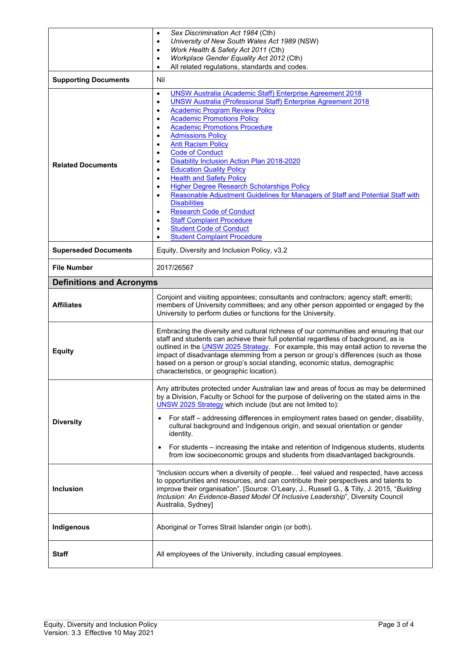|                                 | Sex Discrimination Act 1984 (Cth)<br>$\bullet$<br>University of New South Wales Act 1989 (NSW)<br>$\bullet$<br>Work Health & Safety Act 2011 (Cth)<br>٠                                                                                                                                                                                                                                                                                                                                                                                                                                                                                                                                                                                                                                                                                                                                                                                                                             |  |  |
|---------------------------------|-------------------------------------------------------------------------------------------------------------------------------------------------------------------------------------------------------------------------------------------------------------------------------------------------------------------------------------------------------------------------------------------------------------------------------------------------------------------------------------------------------------------------------------------------------------------------------------------------------------------------------------------------------------------------------------------------------------------------------------------------------------------------------------------------------------------------------------------------------------------------------------------------------------------------------------------------------------------------------------|--|--|
|                                 | Workplace Gender Equality Act 2012 (Cth)<br>$\bullet$<br>All related regulations, standards and codes.<br>$\bullet$                                                                                                                                                                                                                                                                                                                                                                                                                                                                                                                                                                                                                                                                                                                                                                                                                                                                 |  |  |
| <b>Supporting Documents</b>     | Nil                                                                                                                                                                                                                                                                                                                                                                                                                                                                                                                                                                                                                                                                                                                                                                                                                                                                                                                                                                                 |  |  |
| <b>Related Documents</b>        | <b>UNSW Australia (Academic Staff) Enterprise Agreement 2018</b><br>$\bullet$<br><b>UNSW Australia (Professional Staff) Enterprise Agreement 2018</b><br>$\bullet$<br><b>Academic Program Review Policy</b><br>٠<br><b>Academic Promotions Policy</b><br>$\bullet$<br><b>Academic Promotions Procedure</b><br>$\bullet$<br><b>Admissions Policy</b><br>$\bullet$<br><b>Anti Racism Policy</b><br>$\bullet$<br><b>Code of Conduct</b><br>$\bullet$<br>Disability Inclusion Action Plan 2018-2020<br><b>Education Quality Policy</b><br>٠<br><b>Health and Safety Policy</b><br>$\bullet$<br><b>Higher Degree Research Scholarships Policy</b><br>$\bullet$<br>Reasonable Adjustment Guidelines for Managers of Staff and Potential Staff with<br>$\bullet$<br><b>Disabilities</b><br><b>Research Code of Conduct</b><br>$\bullet$<br><b>Staff Complaint Procedure</b><br>$\bullet$<br><b>Student Code of Conduct</b><br>$\bullet$<br><b>Student Complaint Procedure</b><br>$\bullet$ |  |  |
| <b>Superseded Documents</b>     | Equity, Diversity and Inclusion Policy, v3.2                                                                                                                                                                                                                                                                                                                                                                                                                                                                                                                                                                                                                                                                                                                                                                                                                                                                                                                                        |  |  |
| <b>File Number</b>              | 2017/26567                                                                                                                                                                                                                                                                                                                                                                                                                                                                                                                                                                                                                                                                                                                                                                                                                                                                                                                                                                          |  |  |
| <b>Definitions and Acronyms</b> |                                                                                                                                                                                                                                                                                                                                                                                                                                                                                                                                                                                                                                                                                                                                                                                                                                                                                                                                                                                     |  |  |
| <b>Affiliates</b>               | Conjoint and visiting appointees; consultants and contractors; agency staff; emeriti;<br>members of University committees; and any other person appointed or engaged by the<br>University to perform duties or functions for the University.                                                                                                                                                                                                                                                                                                                                                                                                                                                                                                                                                                                                                                                                                                                                        |  |  |
| <b>Equity</b>                   | Embracing the diversity and cultural richness of our communities and ensuring that our<br>staff and students can achieve their full potential regardless of background, as is<br>outlined in the UNSW 2025 Strategy. For example, this may entail action to reverse the<br>impact of disadvantage stemming from a person or group's differences (such as those<br>based on a person or group's social standing, economic status, demographic<br>characteristics, or geographic location).                                                                                                                                                                                                                                                                                                                                                                                                                                                                                           |  |  |
| <b>Diversity</b>                | Any attributes protected under Australian law and areas of focus as may be determined<br>by a Division, Faculty or School for the purpose of delivering on the stated aims in the<br>UNSW 2025 Strategy which include (but are not limited to):<br>For staff – addressing differences in employment rates based on gender, disability,<br>cultural background and Indigenous origin, and sexual orientation or gender                                                                                                                                                                                                                                                                                                                                                                                                                                                                                                                                                               |  |  |
|                                 | identity.<br>For students – increasing the intake and retention of Indigenous students, students<br>from low socioeconomic groups and students from disadvantaged backgrounds.                                                                                                                                                                                                                                                                                                                                                                                                                                                                                                                                                                                                                                                                                                                                                                                                      |  |  |
| <b>Inclusion</b>                | "Inclusion occurs when a diversity of people feel valued and respected, have access<br>to opportunities and resources, and can contribute their perspectives and talents to<br>improve their organisation". [Source: O'Leary, J., Russell G., & Tilly, J. 2015, "Building<br>Inclusion: An Evidence-Based Model Of Inclusive Leadership", Diversity Council<br>Australia, Sydney]                                                                                                                                                                                                                                                                                                                                                                                                                                                                                                                                                                                                   |  |  |
| Indigenous                      | Aboriginal or Torres Strait Islander origin (or both).                                                                                                                                                                                                                                                                                                                                                                                                                                                                                                                                                                                                                                                                                                                                                                                                                                                                                                                              |  |  |
| <b>Staff</b>                    | All employees of the University, including casual employees.                                                                                                                                                                                                                                                                                                                                                                                                                                                                                                                                                                                                                                                                                                                                                                                                                                                                                                                        |  |  |